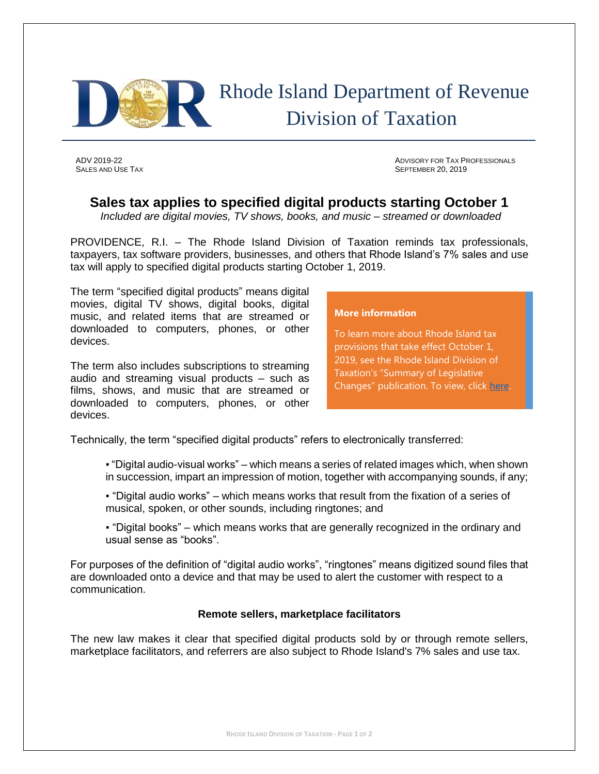

# Rhode Island Department of Revenue Division of Taxation

ADV 2019-22 ADVISORY FOR TAX PROFESSIONALS SALES AND USE TAX SEPTEMBER 20, 2019

# **Sales tax applies to specified digital products starting October 1**

*Included are digital movies, TV shows, books, and music – streamed or downloaded*

PROVIDENCE, R.I. – The Rhode Island Division of Taxation reminds tax professionals, taxpayers, tax software providers, businesses, and others that Rhode Island's 7% sales and use tax will apply to specified digital products starting October 1, 2019.

The term "specified digital products" means digital movies, digital TV shows, digital books, digital music, and related items that are streamed or downloaded to computers, phones, or other devices.

The term also includes subscriptions to streaming audio and streaming visual products – such as films, shows, and music that are streamed or downloaded to computers, phones, or other devices.

#### **More information**

To learn more about Rhode Island tax provisions that take effect October 1, 2019, see the Rhode Island Division of Taxation's "Summary of Legislative Changes" publication. To view, click [here.](http://www.tax.ri.gov/reports/Summary_of_Legislative_Changes_08_05_19.pdf)

Technically, the term "specified digital products" refers to electronically transferred:

- "Digital audio-visual works" which means a series of related images which, when shown in succession, impart an impression of motion, together with accompanying sounds, if any;
- "Digital audio works" which means works that result from the fixation of a series of musical, spoken, or other sounds, including ringtones; and
- "Digital books" which means works that are generally recognized in the ordinary and usual sense as "books".

For purposes of the definition of "digital audio works", "ringtones" means digitized sound files that are downloaded onto a device and that may be used to alert the customer with respect to a communication.

## **Remote sellers, marketplace facilitators**

The new law makes it clear that specified digital products sold by or through remote sellers, marketplace facilitators, and referrers are also subject to Rhode Island's 7% sales and use tax.